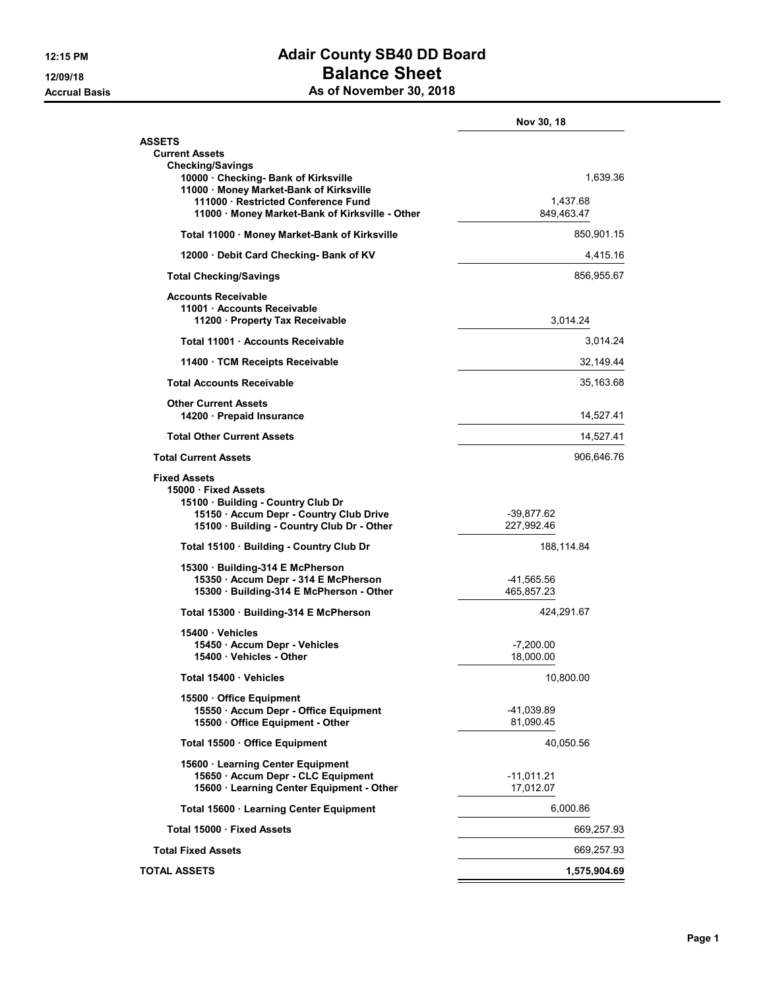## 12:15 PM **Adair County SB40 DD Board** 12/09/18 **Balance Sheet** Accrual Basis Accrual Basis As of November 30, 2018

|                                                                                       | Nov 30, 18               |
|---------------------------------------------------------------------------------------|--------------------------|
| <b>ASSETS</b>                                                                         |                          |
| <b>Current Assets</b><br><b>Checking/Savings</b>                                      |                          |
| 10000 Checking- Bank of Kirksville                                                    | 1,639.36                 |
| 11000 · Money Market-Bank of Kirksville<br>111000 · Restricted Conference Fund        | 1,437.68                 |
| 11000 · Money Market-Bank of Kirksville - Other                                       | 849,463.47               |
| Total 11000 · Money Market-Bank of Kirksville                                         | 850,901.15               |
| 12000 Debit Card Checking- Bank of KV                                                 | 4,415.16                 |
| <b>Total Checking/Savings</b>                                                         | 856,955.67               |
| <b>Accounts Receivable</b>                                                            |                          |
| 11001 Accounts Receivable                                                             |                          |
| 11200 · Property Tax Receivable                                                       | 3,014.24                 |
| Total 11001 Accounts Receivable                                                       | 3,014.24                 |
| 11400 · TCM Receipts Receivable                                                       | 32,149.44                |
| <b>Total Accounts Receivable</b>                                                      | 35,163.68                |
| <b>Other Current Assets</b><br>14200 · Prepaid Insurance                              | 14,527.41                |
| <b>Total Other Current Assets</b>                                                     | 14,527.41                |
| <b>Total Current Assets</b>                                                           | 906,646.76               |
| <b>Fixed Assets</b>                                                                   |                          |
| 15000 Fixed Assets                                                                    |                          |
| 15100 Building - Country Club Dr                                                      |                          |
| 15150 · Accum Depr - Country Club Drive<br>15100 · Building - Country Club Dr - Other | -39,877.62<br>227,992.46 |
| Total 15100 · Building - Country Club Dr                                              | 188,114.84               |
| 15300 Building-314 E McPherson                                                        |                          |
| 15350 · Accum Depr - 314 E McPherson                                                  | -41,565.56               |
| 15300 · Building-314 E McPherson - Other                                              | 465,857.23               |
| Total 15300 · Building-314 E McPherson                                                | 424,291.67               |
| 15400 Vehicles                                                                        |                          |
| 15450 Accum Depr - Vehicles<br>15400 · Vehicles - Other                               | $-7,200.00$<br>18,000.00 |
| Total 15400 · Vehicles                                                                | 10,800.00                |
| 15500 Office Equipment                                                                |                          |
| 15550 · Accum Depr - Office Equipment                                                 | -41,039.89               |
| 15500 Office Equipment - Other                                                        | 81,090.45                |
| Total 15500 · Office Equipment                                                        | 40,050.56                |
| 15600 · Learning Center Equipment                                                     |                          |
| 15650 · Accum Depr - CLC Equipment<br>15600 · Learning Center Equipment - Other       | -11,011.21<br>17,012.07  |
| Total 15600 · Learning Center Equipment                                               | 6,000.86                 |
| Total 15000 · Fixed Assets                                                            | 669,257.93               |
|                                                                                       |                          |
| <b>Total Fixed Assets</b>                                                             | 669,257.93               |
| <b>TOTAL ASSETS</b>                                                                   | 1,575,904.69             |